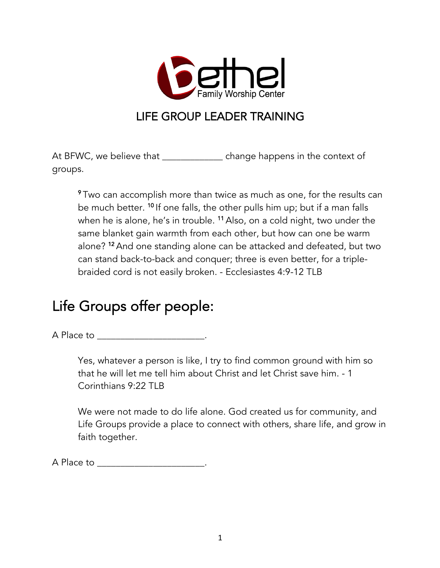

### LIFE GROUP LEADER TRAINING

At BFWC, we believe that \_\_\_\_\_\_\_\_\_\_\_\_\_\_\_ change happens in the context of groups.

 $\rm ^9$ Two can accomplish more than twice as much as one, for the results can  $\rm ^9$ be much better. <sup>10</sup> If one falls, the other pulls him up; but if a man falls when he is alone, he's in trouble. <sup>11</sup> Also, on a cold night, two under the same blanket gain warmth from each other, but how can one be warm alone? <sup>12</sup> And one standing alone can be attacked and defeated, but two can stand back-to-back and conquer; three is even better, for a triplebraided cord is not easily broken. - Ecclesiastes 4:9-12 TLB

# Life Groups offer people:

A Place to **A** 

Yes, whatever a person is like, I try to find common ground with him so that he will let me tell him about Christ and let Christ save him. - 1 Corinthians 9:22 TLB

We were not made to do life alone. God created us for community, and Life Groups provide a place to connect with others, share life, and grow in faith together.

A Place to \_\_\_\_\_\_\_\_\_\_\_\_\_\_\_\_\_\_\_\_\_\_\_.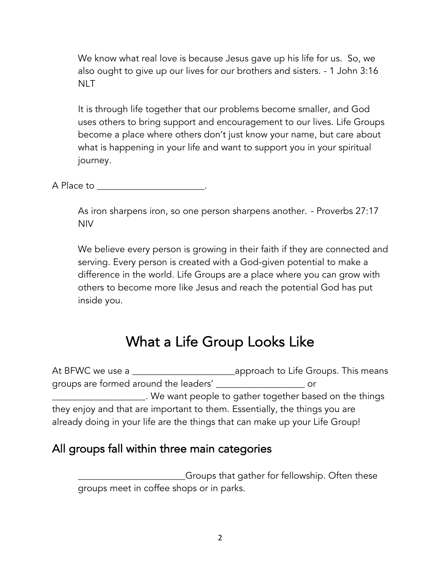We know what real love is because Jesus gave up his life for us. So, we also ought to give up our lives for our brothers and sisters. - 1 John 3:16 **NLT** 

It is through life together that our problems become smaller, and God uses others to bring support and encouragement to our lives. Life Groups become a place where others don't just know your name, but care about what is happening in your life and want to support you in your spiritual journey.

A Place to the contract of the contract of the contract of the contract of the contract of the contract of the contract of the contract of the contract of the contract of the contract of the contract of the contract of the

As iron sharpens iron, so one person sharpens another. - Proverbs 27:17 NIV

We believe every person is growing in their faith if they are connected and serving. Every person is created with a God-given potential to make a difference in the world. Life Groups are a place where you can grow with others to become more like Jesus and reach the potential God has put inside you.

### What a Life Group Looks Like

At BFWC we use a \_\_\_\_\_\_\_\_\_\_\_\_\_\_\_\_\_\_\_\_\_\_approach to Life Groups. This means groups are formed around the leaders' \_\_\_\_\_\_\_\_\_\_\_\_\_\_\_\_\_\_\_ or \_\_\_\_\_\_\_\_\_\_\_\_\_\_\_\_\_\_\_\_. We want people to gather together based on the things they enjoy and that are important to them. Essentially, the things you are already doing in your life are the things that can make up your Life Group!

### All groups fall within three main categories

\_\_\_\_\_\_\_\_\_\_\_\_\_\_\_\_\_\_\_\_\_\_\_Groups that gather for fellowship. Often these groups meet in coffee shops or in parks.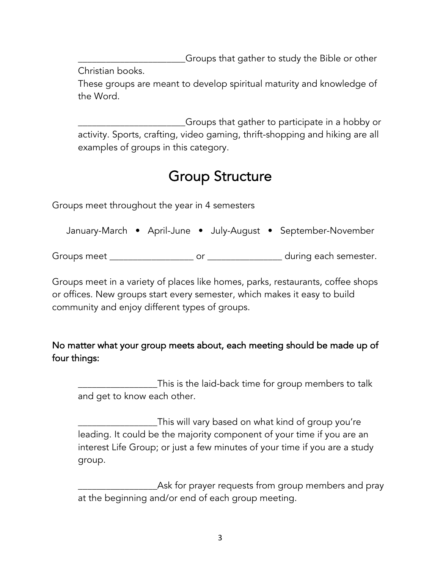\_\_\_\_\_\_\_\_\_\_\_\_\_\_\_\_\_\_\_\_\_\_\_Groups that gather to study the Bible or other

Christian books.

These groups are meant to develop spiritual maturity and knowledge of the Word.

\_\_\_\_\_\_\_\_\_\_\_\_\_\_\_\_\_\_\_\_\_\_\_Groups that gather to participate in a hobby or activity. Sports, crafting, video gaming, thrift-shopping and hiking are all examples of groups in this category.

# Group Structure

Groups meet throughout the year in 4 semesters

January-March • April-June • July-August • September-November

Groups meet \_\_\_\_\_\_\_\_\_\_\_\_\_\_\_\_\_\_ or \_\_\_\_\_\_\_\_\_\_\_\_\_\_\_\_ during each semester.

Groups meet in a variety of places like homes, parks, restaurants, coffee shops or offices. New groups start every semester, which makes it easy to build community and enjoy different types of groups.

### No matter what your group meets about, each meeting should be made up of four things:

\_\_\_\_\_\_\_\_\_\_\_\_\_\_\_\_\_This is the laid-back time for group members to talk and get to know each other.

\_\_\_\_\_\_\_\_\_\_\_\_\_\_\_\_\_This will vary based on what kind of group you're leading. It could be the majority component of your time if you are an interest Life Group; or just a few minutes of your time if you are a study group.

\_\_\_\_\_\_\_\_\_\_\_\_\_\_\_\_\_Ask for prayer requests from group members and pray at the beginning and/or end of each group meeting.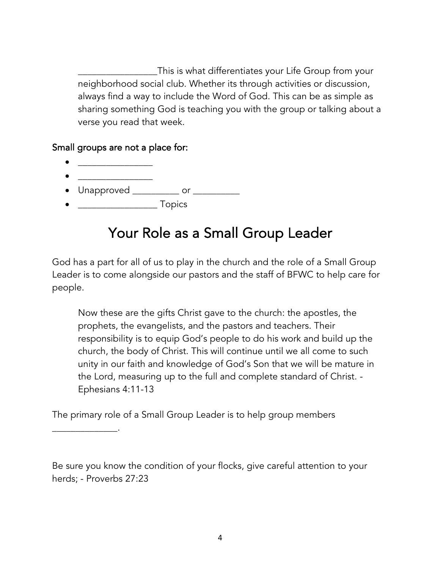\_\_\_\_\_\_\_\_\_\_\_\_\_\_\_\_\_This is what differentiates your Life Group from your neighborhood social club. Whether its through activities or discussion, always find a way to include the Word of God. This can be as simple as sharing something God is teaching you with the group or talking about a verse you read that week.

#### Small groups are not a place for:

 $\mathcal{L}^{\text{max}}_{\text{max}}$ 

\_\_\_\_\_\_\_\_\_\_\_\_\_\_.

- \_\_\_\_\_\_\_\_\_\_\_\_\_\_\_\_ • Unapproved \_\_\_\_\_\_\_\_\_\_\_ or \_\_\_\_\_\_\_\_\_\_\_\_
- \_\_\_\_\_\_\_\_\_\_\_\_\_\_\_\_\_ Topics

## Your Role as a Small Group Leader

God has a part for all of us to play in the church and the role of a Small Group Leader is to come alongside our pastors and the staff of BFWC to help care for people.

Now these are the gifts Christ gave to the church: the apostles, the prophets, the evangelists, and the pastors and teachers. Their responsibility is to equip God's people to do his work and build up the church, the body of Christ. This will continue until we all come to such unity in our faith and knowledge of God's Son that we will be mature in the Lord, measuring up to the full and complete standard of Christ. - Ephesians 4:11-13

The primary role of a Small Group Leader is to help group members

Be sure you know the condition of your flocks, give careful attention to your herds; - Proverbs 27:23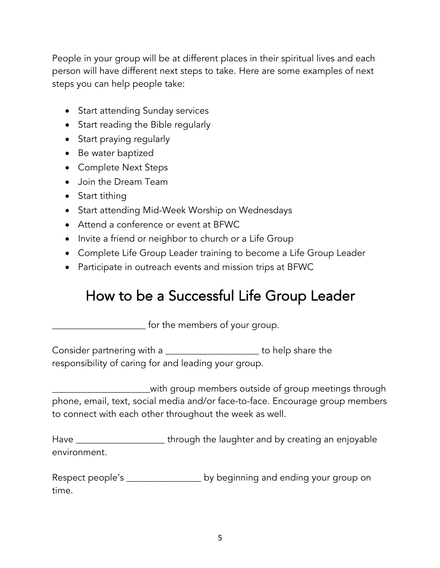People in your group will be at different places in their spiritual lives and each person will have different next steps to take. Here are some examples of next steps you can help people take:

- Start attending Sunday services
- Start reading the Bible regularly
- Start praying regularly
- Be water baptized
- Complete Next Steps
- Join the Dream Team
- Start tithing
- Start attending Mid-Week Worship on Wednesdays
- Attend a conference or event at BFWC
- Invite a friend or neighbor to church or a Life Group
- Complete Life Group Leader training to become a Life Group Leader
- Participate in outreach events and mission trips at BFWC

### How to be a Successful Life Group Leader

\_\_\_\_\_\_\_\_\_\_\_\_\_\_\_\_\_\_\_\_ for the members of your group.

Consider partnering with a \_\_\_\_\_\_\_\_\_\_\_\_\_\_\_\_\_\_\_\_\_\_\_ to help share the responsibility of caring for and leading your group.

\_\_\_\_\_\_\_\_\_\_\_\_\_\_\_\_\_\_\_\_\_with group members outside of group meetings through phone, email, text, social media and/or face-to-face. Encourage group members to connect with each other throughout the week as well.

Have \_\_\_\_\_\_\_\_\_\_\_\_\_\_\_\_\_\_\_\_\_\_\_\_\_\_through the laughter and by creating an enjoyable environment.

Respect people's \_\_\_\_\_\_\_\_\_\_\_\_\_\_\_\_\_\_\_\_ by beginning and ending your group on time.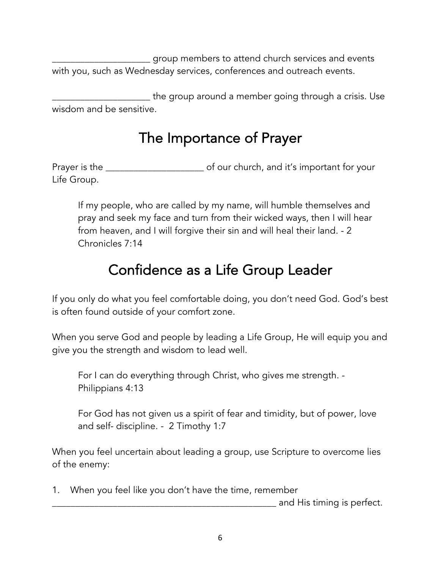\_\_\_\_\_\_\_\_\_\_\_\_\_\_\_\_\_\_\_\_\_ group members to attend church services and events with you, such as Wednesday services, conferences and outreach events.

\_\_\_\_\_\_\_\_\_\_\_\_\_\_\_\_\_\_\_\_\_ the group around a member going through a crisis. Use wisdom and be sensitive.

### The Importance of Prayer

Prayer is the **Net all 2018** of our church, and it's important for your Life Group.

If my people, who are called by my name, will humble themselves and pray and seek my face and turn from their wicked ways, then I will hear from heaven, and I will forgive their sin and will heal their land. - 2 Chronicles 7:14

# Confidence as a Life Group Leader

If you only do what you feel comfortable doing, you don't need God. God's best is often found outside of your comfort zone.

When you serve God and people by leading a Life Group, He will equip you and give you the strength and wisdom to lead well.

For I can do everything through Christ, who gives me strength. - Philippians 4:13

For God has not given us a spirit of fear and timidity, but of power, love and self- discipline. - 2 Timothy 1:7

When you feel uncertain about leading a group, use Scripture to overcome lies of the enemy:

1. When you feel like you don't have the time, remember

\_\_\_\_\_\_\_\_\_\_\_\_\_\_\_\_\_\_\_\_\_\_\_\_\_\_\_\_\_\_\_\_\_\_\_\_\_\_\_\_\_\_\_\_\_\_\_\_ and His timing is perfect.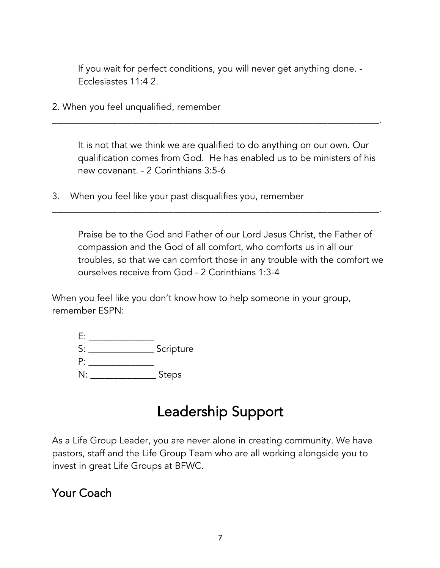If you wait for perfect conditions, you will never get anything done. - Ecclesiastes 11:4 2.

\_\_\_\_\_\_\_\_\_\_\_\_\_\_\_\_\_\_\_\_\_\_\_\_\_\_\_\_\_\_\_\_\_\_\_\_\_\_\_\_\_\_\_\_\_\_\_\_\_\_\_\_\_\_\_\_\_\_\_\_\_\_\_\_\_\_\_\_\_\_.

\_\_\_\_\_\_\_\_\_\_\_\_\_\_\_\_\_\_\_\_\_\_\_\_\_\_\_\_\_\_\_\_\_\_\_\_\_\_\_\_\_\_\_\_\_\_\_\_\_\_\_\_\_\_\_\_\_\_\_\_\_\_\_\_\_\_\_\_\_\_.

2. When you feel unqualified, remember

It is not that we think we are qualified to do anything on our own. Our qualification comes from God. He has enabled us to be ministers of his new covenant. - 2 Corinthians 3:5-6

3. When you feel like your past disqualifies you, remember

Praise be to the God and Father of our Lord Jesus Christ, the Father of compassion and the God of all comfort, who comforts us in all our troubles, so that we can comfort those in any trouble with the comfort we ourselves receive from God - 2 Corinthians 1:3-4

When you feel like you don't know how to help someone in your group, remember ESPN:

| S: | Scripture    |
|----|--------------|
| P: |              |
| N: | <b>Steps</b> |

### Leadership Support

As a Life Group Leader, you are never alone in creating community. We have pastors, staff and the Life Group Team who are all working alongside you to invest in great Life Groups at BFWC.

### Your Coach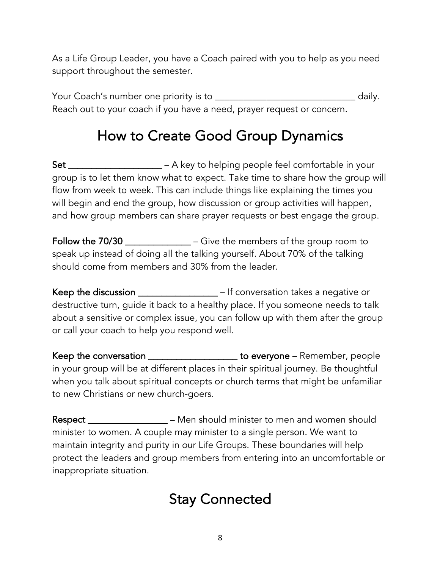As a Life Group Leader, you have a Coach paired with you to help as you need support throughout the semester.

Your Coach's number one priority is to \_\_\_\_\_\_\_\_\_\_\_\_\_\_\_\_\_\_\_\_\_\_\_\_\_\_\_\_\_\_ daily. Reach out to your coach if you have a need, prayer request or concern.

## How to Create Good Group Dynamics

Set \_\_\_\_\_\_\_\_\_\_\_\_\_\_\_\_\_\_\_\_\_ – A key to helping people feel comfortable in your group is to let them know what to expect. Take time to share how the group will flow from week to week. This can include things like explaining the times you will begin and end the group, how discussion or group activities will happen, and how group members can share prayer requests or best engage the group.

Follow the 70/30 \_\_\_\_\_\_\_\_\_\_\_\_\_\_\_ – Give the members of the group room to speak up instead of doing all the talking yourself. About 70% of the talking should come from members and 30% from the leader.

Keep the discussion \_\_\_\_\_\_\_\_\_\_\_\_\_\_\_\_\_ – If conversation takes a negative or destructive turn, guide it back to a healthy place. If you someone needs to talk about a sensitive or complex issue, you can follow up with them after the group or call your coach to help you respond well.

Keep the conversation \_\_\_\_\_\_\_\_\_\_\_\_\_\_\_\_\_\_\_\_\_ to everyone - Remember, people in your group will be at different places in their spiritual journey. Be thoughtful when you talk about spiritual concepts or church terms that might be unfamiliar to new Christians or new church-goers.

Respect \_\_\_\_\_\_\_\_\_\_\_\_\_\_\_\_\_\_\_ – Men should minister to men and women should minister to women. A couple may minister to a single person. We want to maintain integrity and purity in our Life Groups. These boundaries will help protect the leaders and group members from entering into an uncomfortable or inappropriate situation.

### Stay Connected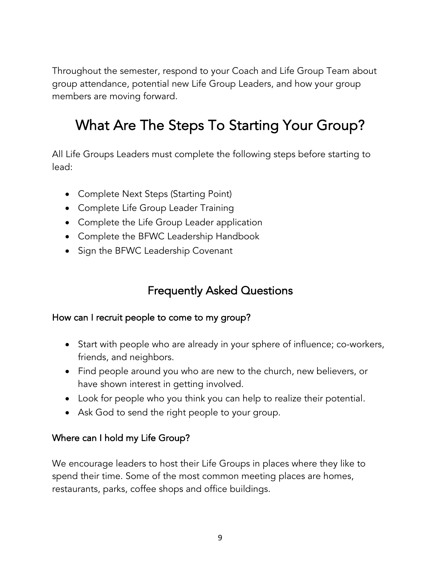Throughout the semester, respond to your Coach and Life Group Team about group attendance, potential new Life Group Leaders, and how your group members are moving forward.

## What Are The Steps To Starting Your Group?

All Life Groups Leaders must complete the following steps before starting to lead:

- Complete Next Steps (Starting Point)
- Complete Life Group Leader Training
- Complete the Life Group Leader application
- Complete the BFWC Leadership Handbook
- Sign the BFWC Leadership Covenant

### Frequently Asked Questions

#### How can I recruit people to come to my group?

- Start with people who are already in your sphere of influence; co-workers, friends, and neighbors.
- Find people around you who are new to the church, new believers, or have shown interest in getting involved.
- Look for people who you think you can help to realize their potential.
- Ask God to send the right people to your group.

#### Where can I hold my Life Group?

We encourage leaders to host their Life Groups in places where they like to spend their time. Some of the most common meeting places are homes, restaurants, parks, coffee shops and office buildings.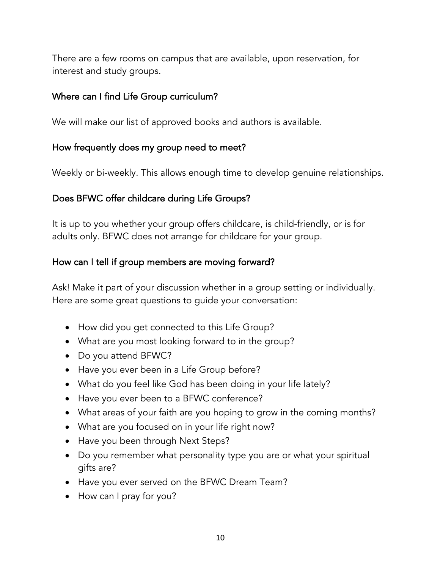There are a few rooms on campus that are available, upon reservation, for interest and study groups.

#### Where can I find Life Group curriculum?

We will make our list of approved books and authors is available.

#### How frequently does my group need to meet?

Weekly or bi-weekly. This allows enough time to develop genuine relationships.

#### Does BFWC offer childcare during Life Groups?

It is up to you whether your group offers childcare, is child-friendly, or is for adults only. BFWC does not arrange for childcare for your group.

#### How can I tell if group members are moving forward?

Ask! Make it part of your discussion whether in a group setting or individually. Here are some great questions to guide your conversation:

- How did you get connected to this Life Group?
- What are you most looking forward to in the group?
- Do you attend BFWC?
- Have you ever been in a Life Group before?
- What do you feel like God has been doing in your life lately?
- Have you ever been to a BFWC conference?
- What areas of your faith are you hoping to grow in the coming months?
- What are you focused on in your life right now?
- Have you been through Next Steps?
- Do you remember what personality type you are or what your spiritual gifts are?
- Have you ever served on the BFWC Dream Team?
- How can I pray for you?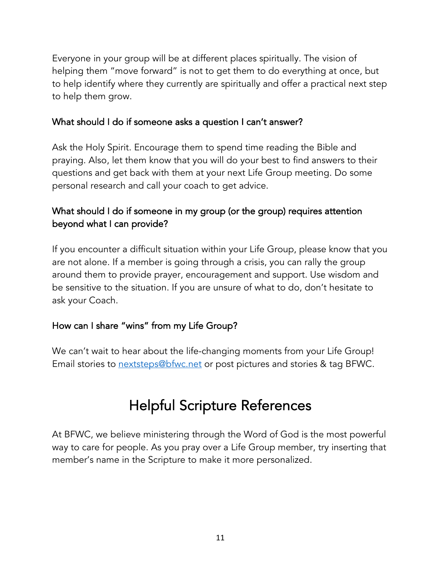Everyone in your group will be at different places spiritually. The vision of helping them "move forward" is not to get them to do everything at once, but to help identify where they currently are spiritually and offer a practical next step to help them grow.

#### What should I do if someone asks a question I can't answer?

Ask the Holy Spirit. Encourage them to spend time reading the Bible and praying. Also, let them know that you will do your best to find answers to their questions and get back with them at your next Life Group meeting. Do some personal research and call your coach to get advice.

### What should I do if someone in my group (or the group) requires attention beyond what I can provide?

If you encounter a difficult situation within your Life Group, please know that you are not alone. If a member is going through a crisis, you can rally the group around them to provide prayer, encouragement and support. Use wisdom and be sensitive to the situation. If you are unsure of what to do, don't hesitate to ask your Coach.

#### How can I share "wins" from my Life Group?

We can't wait to hear about the life-changing moments from your Life Group! Email stories to **nextsteps@bfwc.net** or post pictures and stories & tag BFWC.

### Helpful Scripture References

At BFWC, we believe ministering through the Word of God is the most powerful way to care for people. As you pray over a Life Group member, try inserting that member's name in the Scripture to make it more personalized.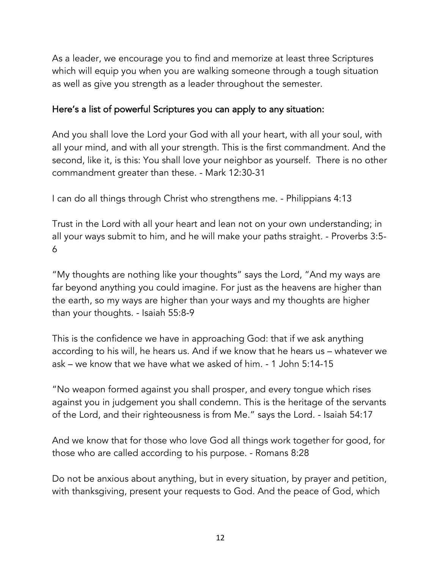As a leader, we encourage you to find and memorize at least three Scriptures which will equip you when you are walking someone through a tough situation as well as give you strength as a leader throughout the semester.

### Here's a list of powerful Scriptures you can apply to any situation:

And you shall love the Lord your God with all your heart, with all your soul, with all your mind, and with all your strength. This is the first commandment. And the second, like it, is this: You shall love your neighbor as yourself. There is no other commandment greater than these. - Mark 12:30-31

I can do all things through Christ who strengthens me. - Philippians 4:13

Trust in the Lord with all your heart and lean not on your own understanding; in all your ways submit to him, and he will make your paths straight. - Proverbs 3:5- 6

"My thoughts are nothing like your thoughts" says the Lord, "And my ways are far beyond anything you could imagine. For just as the heavens are higher than the earth, so my ways are higher than your ways and my thoughts are higher than your thoughts. - Isaiah 55:8-9

This is the confidence we have in approaching God: that if we ask anything according to his will, he hears us. And if we know that he hears us – whatever we ask – we know that we have what we asked of him. - 1 John 5:14-15

"No weapon formed against you shall prosper, and every tongue which rises against you in judgement you shall condemn. This is the heritage of the servants of the Lord, and their righteousness is from Me." says the Lord. - Isaiah 54:17

And we know that for those who love God all things work together for good, for those who are called according to his purpose. - Romans 8:28

Do not be anxious about anything, but in every situation, by prayer and petition, with thanksgiving, present your requests to God. And the peace of God, which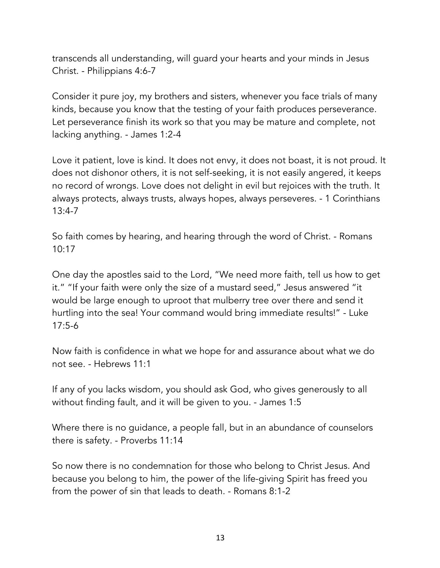transcends all understanding, will guard your hearts and your minds in Jesus Christ. - Philippians 4:6-7

Consider it pure joy, my brothers and sisters, whenever you face trials of many kinds, because you know that the testing of your faith produces perseverance. Let perseverance finish its work so that you may be mature and complete, not lacking anything. - James 1:2-4

Love it patient, love is kind. It does not envy, it does not boast, it is not proud. It does not dishonor others, it is not self-seeking, it is not easily angered, it keeps no record of wrongs. Love does not delight in evil but rejoices with the truth. It always protects, always trusts, always hopes, always perseveres. - 1 Corinthians 13:4-7

So faith comes by hearing, and hearing through the word of Christ. - Romans 10:17

One day the apostles said to the Lord, "We need more faith, tell us how to get it." "If your faith were only the size of a mustard seed," Jesus answered "it would be large enough to uproot that mulberry tree over there and send it hurtling into the sea! Your command would bring immediate results!" - Luke 17:5-6

Now faith is confidence in what we hope for and assurance about what we do not see. - Hebrews 11:1

If any of you lacks wisdom, you should ask God, who gives generously to all without finding fault, and it will be given to you. - James 1:5

Where there is no guidance, a people fall, but in an abundance of counselors there is safety. - Proverbs 11:14

So now there is no condemnation for those who belong to Christ Jesus. And because you belong to him, the power of the life-giving Spirit has freed you from the power of sin that leads to death. - Romans 8:1-2